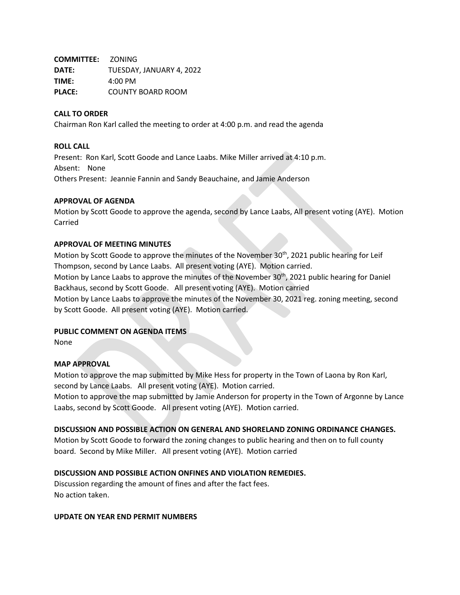**COMMITTEE:** ZONING **DATE:** TUESDAY, JANUARY 4, 2022 **TIME:** 4:00 PM **PLACE:** COUNTY BOARD ROOM

### **CALL TO ORDER**

Chairman Ron Karl called the meeting to order at 4:00 p.m. and read the agenda

#### **ROLL CALL**

Present: Ron Karl, Scott Goode and Lance Laabs. Mike Miller arrived at 4:10 p.m. Absent: None Others Present: Jeannie Fannin and Sandy Beauchaine, and Jamie Anderson

### **APPROVAL OF AGENDA**

Motion by Scott Goode to approve the agenda, second by Lance Laabs, All present voting (AYE). Motion Carried

### **APPROVAL OF MEETING MINUTES**

Motion by Scott Goode to approve the minutes of the November  $30<sup>th</sup>$ , 2021 public hearing for Leif Thompson, second by Lance Laabs. All present voting (AYE). Motion carried. Motion by Lance Laabs to approve the minutes of the November 30<sup>th</sup>, 2021 public hearing for Daniel

Backhaus, second by Scott Goode. All present voting (AYE). Motion carried Motion by Lance Laabs to approve the minutes of the November 30, 2021 reg. zoning meeting, second

by Scott Goode. All present voting (AYE). Motion carried.

## **PUBLIC COMMENT ON AGENDA ITEMS**

None

## **MAP APPROVAL**

Motion to approve the map submitted by Mike Hess for property in the Town of Laona by Ron Karl, second by Lance Laabs. All present voting (AYE). Motion carried.

Motion to approve the map submitted by Jamie Anderson for property in the Town of Argonne by Lance Laabs, second by Scott Goode. All present voting (AYE). Motion carried.

## **DISCUSSION AND POSSIBLE ACTION ON GENERAL AND SHORELAND ZONING ORDINANCE CHANGES.**

Motion by Scott Goode to forward the zoning changes to public hearing and then on to full county board. Second by Mike Miller. All present voting (AYE). Motion carried

## **DISCUSSION AND POSSIBLE ACTION ONFINES AND VIOLATION REMEDIES.**

Discussion regarding the amount of fines and after the fact fees. No action taken.

### **UPDATE ON YEAR END PERMIT NUMBERS**